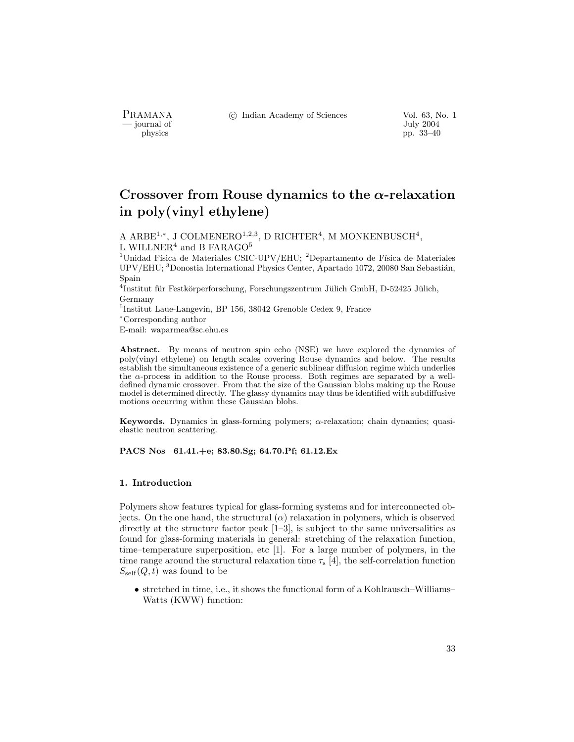- journal of<br>physics

PRAMANA °c Indian Academy of Sciences Vol. 63, No. 1

pp. 33–40

# Crossover from Rouse dynamics to the  $\alpha$ -relaxation in poly(vinyl ethylene)

A ARBE<sup>1,\*</sup>, J COLMENERO<sup>1,2,3</sup>, D RICHTER<sup>4</sup>, M MONKENBUSCH<sup>4</sup>, L WILLNER<sup>4</sup> and B FARAGO<sup>5</sup>

<sup>1</sup>Unidad Física de Materiales CSIC-UPV/EHU; <sup>2</sup>Departamento de Física de Materiales UPV/EHU; <sup>3</sup>Donostia International Physics Center, Apartado 1072, 20080 San Sebastián, Spain

<sup>4</sup>Institut für Festkörperforschung, Forschungszentrum Jülich GmbH, D-52425 Jülich, Germany

<sup>5</sup>Institut Laue-Langevin, BP 156, 38042 Grenoble Cedex 9, France

<sup>∗</sup>Corresponding author

E-mail: waparmea@sc.ehu.es

Abstract. By means of neutron spin echo (NSE) we have explored the dynamics of poly(vinyl ethylene) on length scales covering Rouse dynamics and below. The results establish the simultaneous existence of a generic sublinear diffusion regime which underlies the  $\alpha$ -process in addition to the Rouse process. Both regimes are separated by a welldefined dynamic crossover. From that the size of the Gaussian blobs making up the Rouse model is determined directly. The glassy dynamics may thus be identified with subdiffusive motions occurring within these Gaussian blobs.

Keywords. Dynamics in glass-forming polymers; α-relaxation; chain dynamics; quasielastic neutron scattering.

PACS Nos 61.41.+e; 83.80.Sg; 64.70.Pf; 61.12.Ex

# 1. Introduction

Polymers show features typical for glass-forming systems and for interconnected objects. On the one hand, the structural  $(\alpha)$  relaxation in polymers, which is observed directly at the structure factor peak  $[1-3]$ , is subject to the same universalities as found for glass-forming materials in general: stretching of the relaxation function, time–temperature superposition, etc [1]. For a large number of polymers, in the time range around the structural relaxation time  $\tau_s$  [4], the self-correlation function  $S_{\text{self}}(Q, t)$  was found to be

• stretched in time, i.e., it shows the functional form of a Kohlrausch–Williams– Watts (KWW) function: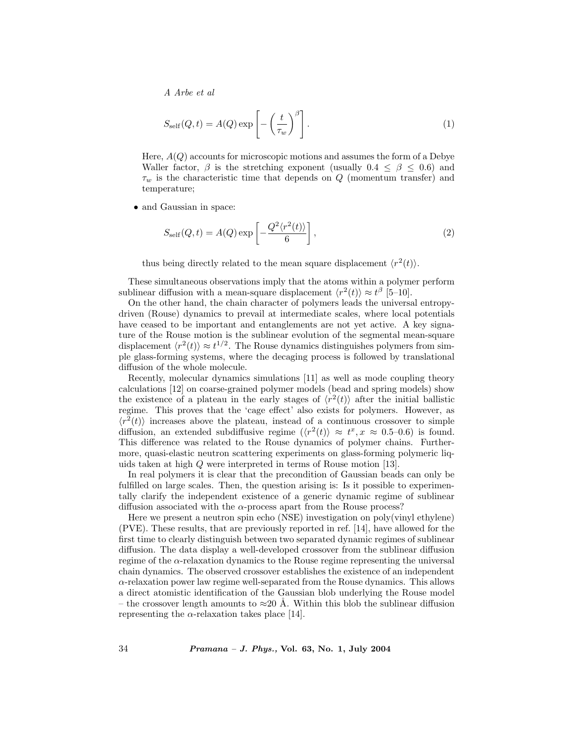A Arbe et al

$$
S_{\text{self}}(Q, t) = A(Q) \exp\left[-\left(\frac{t}{\tau_w}\right)^{\beta}\right].
$$
 (1)

Here,  $A(Q)$  accounts for microscopic motions and assumes the form of a Debye Waller factor,  $\beta$  is the stretching exponent (usually  $0.4 \leq \beta \leq 0.6$ ) and  $\tau_w$  is the characteristic time that depends on Q (momentum transfer) and temperature;

• and Gaussian in space:

$$
S_{\text{self}}(Q, t) = A(Q) \exp\left[-\frac{Q^2 \langle r^2(t) \rangle}{6}\right],\tag{2}
$$

thus being directly related to the mean square displacement  $\langle r^2(t) \rangle$ .

These simultaneous observations imply that the atoms within a polymer perform sublinear diffusion with a mean-square displacement  $\langle r^2(t) \rangle \approx t^{\beta}$  [5–10].

On the other hand, the chain character of polymers leads the universal entropydriven (Rouse) dynamics to prevail at intermediate scales, where local potentials have ceased to be important and entanglements are not yet active. A key signature of the Rouse motion is the sublinear evolution of the segmental mean-square displacement  $\langle r^2(t)\rangle \approx t^{1/2}$ . The Rouse dynamics distinguishes polymers from simple glass-forming systems, where the decaging process is followed by translational diffusion of the whole molecule.

Recently, molecular dynamics simulations [11] as well as mode coupling theory calculations [12] on coarse-grained polymer models (bead and spring models) show the existence of a plateau in the early stages of  $\langle r^2(t) \rangle$  after the initial ballistic regime. This proves that the 'cage effect' also exists for polymers. However, as  $\langle r^2(t) \rangle$  increases above the plateau, instead of a continuous crossover to simple diffusion, an extended subdiffusive regime  $\langle r^2(t)\rangle \approx t^x, x \approx 0.5$ –0.6) is found. This difference was related to the Rouse dynamics of polymer chains. Furthermore, quasi-elastic neutron scattering experiments on glass-forming polymeric liquids taken at high Q were interpreted in terms of Rouse motion [13].

In real polymers it is clear that the precondition of Gaussian beads can only be fulfilled on large scales. Then, the question arising is: Is it possible to experimentally clarify the independent existence of a generic dynamic regime of sublinear diffusion associated with the  $\alpha$ -process apart from the Rouse process?

Here we present a neutron spin echo (NSE) investigation on poly(vinyl ethylene) (PVE). These results, that are previously reported in ref. [14], have allowed for the first time to clearly distinguish between two separated dynamic regimes of sublinear diffusion. The data display a well-developed crossover from the sublinear diffusion regime of the  $\alpha$ -relaxation dynamics to the Rouse regime representing the universal chain dynamics. The observed crossover establishes the existence of an independent  $\alpha$ -relaxation power law regime well-separated from the Rouse dynamics. This allows a direct atomistic identification of the Gaussian blob underlying the Rouse model – the crossover length amounts to  $\approx 20$  Å. Within this blob the sublinear diffusion representing the  $\alpha$ -relaxation takes place [14].

34 Pramana – J. Phys., Vol. 63, No. 1, July 2004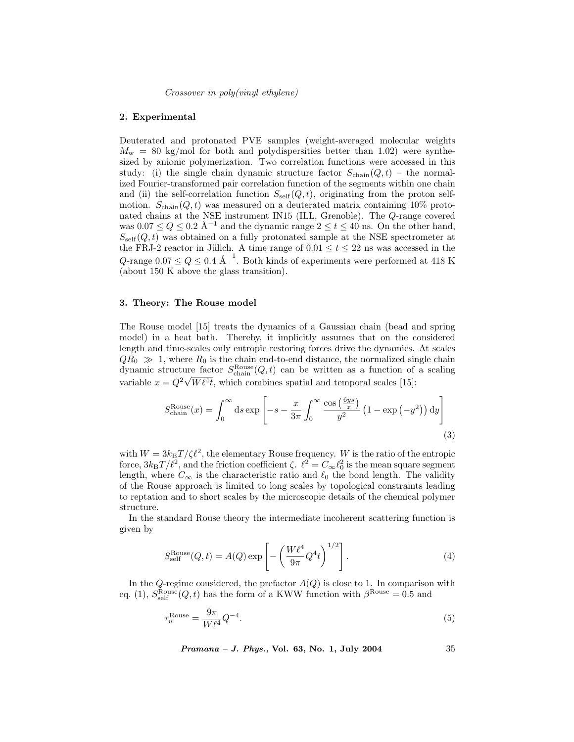Crossover in poly(vinyl ethylene)

#### 2. Experimental

Deuterated and protonated PVE samples (weight-averaged molecular weights  $M_{\rm w}$  = 80 kg/mol for both and polydispersities better than 1.02) were synthesized by anionic polymerization. Two correlation functions were accessed in this study: (i) the single chain dynamic structure factor  $S_{\text{chain}}(Q, t)$  – the normalized Fourier-transformed pair correlation function of the segments within one chain and (ii) the self-correlation function  $S_{\text{self}}(Q, t)$ , originating from the proton selfmotion.  $S_{\text{chain}}(Q, t)$  was measured on a deuterated matrix containing 10% protonated chains at the NSE instrument IN15 (ILL, Grenoble). The Q-range covered was  $0.07 \le Q \le 0.2$  Å<sup>-1</sup> and the dynamic range  $2 \le t \le 40$  ns. On the other hand,  $S_{\text{self}}(Q, t)$  was obtained on a fully protonated sample at the NSE spectrometer at the FRJ-2 reactor in Jülich. A time range of  $0.01 \le t \le 22$  ns was accessed in the Q-range  $0.07 \le Q \le 0.4$  Å<sup>-1</sup>. Both kinds of experiments were performed at 418 K (about 150 K above the glass transition).

# 3. Theory: The Rouse model

The Rouse model [15] treats the dynamics of a Gaussian chain (bead and spring model) in a heat bath. Thereby, it implicitly assumes that on the considered length and time-scales only entropic restoring forces drive the dynamics. At scales  $QR_0 \gg 1$ , where  $R_0$  is the chain end-to-end distance, the normalized single chain dynamic structure factor  $S_{\text{chain}}^{\text{Rouse}}(Q, t)$  can be written as a function of a scaling variable  $x = Q^2 \sqrt{W \ell^4 t}$ , which combines spatial and temporal scales [15]:

$$
S_{\text{chain}}^{\text{Rouse}}(x) = \int_0^\infty \mathrm{d}s \exp\left[ -s - \frac{x}{3\pi} \int_0^\infty \frac{\cos\left(\frac{6ys}{x}\right)}{y^2} \left(1 - \exp\left(-y^2\right)\right) \mathrm{d}y \right] \tag{3}
$$

with  $W = 3k_BT/\zeta\ell^2$ , the elementary Rouse frequency. W is the ratio of the entropic force,  $3k_BT/\ell^2$ , and the friction coefficient  $\zeta$ .  $\ell^2 = C_\infty \ell_0^2$  is the mean square segment length, where  $C_{\infty}$  is the characteristic ratio and  $\ell_0$  the bond length. The validity of the Rouse approach is limited to long scales by topological constraints leading to reptation and to short scales by the microscopic details of the chemical polymer structure.

In the standard Rouse theory the intermediate incoherent scattering function is given by

$$
S_{\text{self}}^{\text{Rouse}}(Q, t) = A(Q) \exp\left[-\left(\frac{W\ell^4}{9\pi}Q^4t\right)^{1/2}\right].\tag{4}
$$

In the Q-regime considered, the prefactor  $A(Q)$  is close to 1. In comparison with eq. (1),  $S_{\text{self}}^{\text{Rouse}}(Q, t)$  has the form of a KWW function with  $\beta^{\text{Rouse}} = 0.5$  and

$$
\tau_w^{\text{Rouse}} = \frac{9\pi}{W\ell^4} Q^{-4}.\tag{5}
$$

Pramana – J. Phys., Vol. 63, No. 1, July 2004 35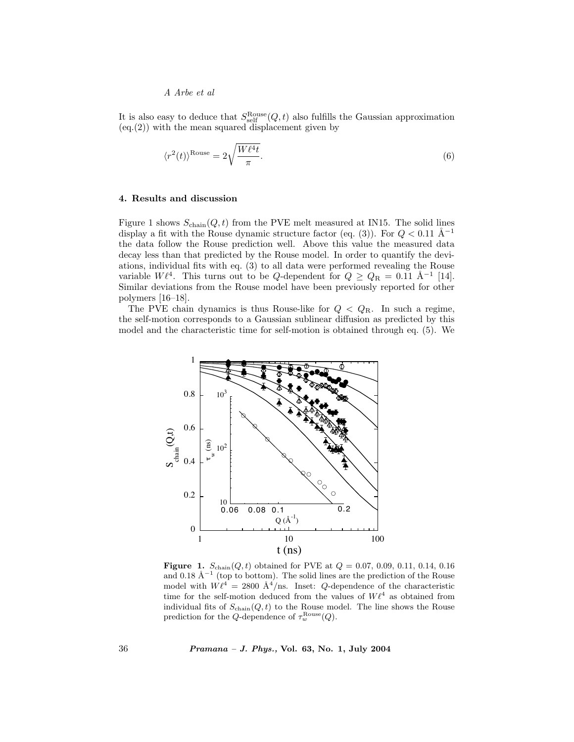# A Arbe et al

It is also easy to deduce that  $S_{\text{self}}^{\text{Rouse}}(Q, t)$  also fulfills the Gaussian approximation (eq.(2)) with the mean squared displacement given by

$$
\langle r^2(t) \rangle^{\text{Rouse}} = 2\sqrt{\frac{W\ell^4 t}{\pi}}.\tag{6}
$$

## 4. Results and discussion

Figure 1 shows  $S_{\text{chain}}(Q, t)$  from the PVE melt measured at IN15. The solid lines display a fit with the Rouse dynamic structure factor (eq. (3)). For  $Q < 0.11$  Å<sup>-1</sup> the data follow the Rouse prediction well. Above this value the measured data decay less than that predicted by the Rouse model. In order to quantify the deviations, individual fits with eq. (3) to all data were performed revealing the Rouse variable  $W \ell^4$ . This turns out to be Q-dependent for  $Q \geq Q_R = 0.11 \text{ Å}^{-1}$  [14]. Similar deviations from the Rouse model have been previously reported for other polymers [16–18].

The PVE chain dynamics is thus Rouse-like for  $Q < Q_R$ . In such a regime, the self-motion corresponds to a Gaussian sublinear diffusion as predicted by this model and the characteristic time for self-motion is obtained through eq. (5). We



**Figure 1.**  $S_{chain}(Q, t)$  obtained for PVE at  $Q = 0.07, 0.09, 0.11, 0.14, 0.16$ and 0.18 Å<sup>-1</sup> (top to bottom). The solid lines are the prediction of the Rouse model with  $W \ell^4 = 2800 \text{ Å}^4/\text{ns}$ . Inset: Q-dependence of the characteristic time for the self-motion deduced from the values of  $W\ell^4$  as obtained from individual fits of  $S_{\text{chain}}(Q, t)$  to the Rouse model. The line shows the Rouse prediction for the Q-dependence of  $\tau_w^{\text{Rouse}}(Q)$ .

36 Pramana – J. Phys., Vol. 63, No. 1, July 2004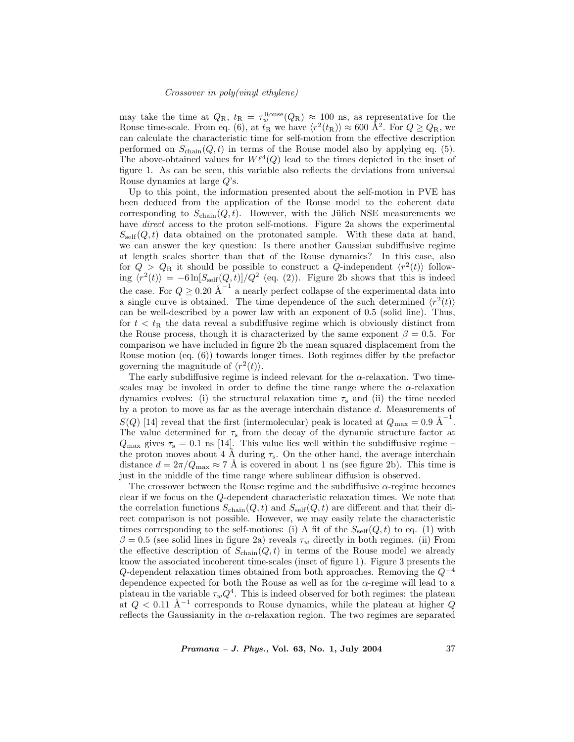### Crossover in poly(vinyl ethylene)

may take the time at  $Q_{\rm R}$ ,  $t_{\rm R} = \tau_w^{\rm Rouse}(Q_{\rm R}) \approx 100$  ns, as representative for the Rouse time-scale. From eq. (6), at  $t_R$  we have  $\langle r^2(t_R)\rangle \approx 600 \text{ \AA}^2$ . For  $Q \ge Q_R$ , we can calculate the characteristic time for self-motion from the effective description performed on  $S_{\text{chain}}(Q, t)$  in terms of the Rouse model also by applying eq. (5). The above-obtained values for  $W\ell^4(Q)$  lead to the times depicted in the inset of figure 1. As can be seen, this variable also reflects the deviations from universal Rouse dynamics at large Q's.

Up to this point, the information presented about the self-motion in PVE has been deduced from the application of the Rouse model to the coherent data corresponding to  $S_{\text{chain}}(Q, t)$ . However, with the Jülich NSE measurements we have *direct* access to the proton self-motions. Figure 2a shows the experimental  $S_{\text{self}}(Q, t)$  data obtained on the protonated sample. With these data at hand, we can answer the key question: Is there another Gaussian subdiffusive regime at length scales shorter than that of the Rouse dynamics? In this case, also for  $Q > Q_R$  it should be possible to construct a Q-independent  $\langle r^2(t) \rangle$  following  $\langle r^2(t)\rangle = -6\ln[S_{\rm self}(Q, t)]/Q^2$  (eq. (2)). Figure 2b shows that this is indeed the case. For  $Q \geq 0.20 \text{ \AA}^{-1}$  a nearly perfect collapse of the experimental data into a single curve is obtained. The time dependence of the such determined  $\langle r^2(t) \rangle$ can be well-described by a power law with an exponent of 0.5 (solid line). Thus, for  $t < t<sub>R</sub>$  the data reveal a subdiffusive regime which is obviously distinct from the Rouse process, though it is characterized by the same exponent  $\beta = 0.5$ . For comparison we have included in figure 2b the mean squared displacement from the Rouse motion (eq. (6)) towards longer times. Both regimes differ by the prefactor governing the magnitude of  $\langle r^2(t) \rangle$ .

The early subdiffusive regime is indeed relevant for the  $\alpha$ -relaxation. Two timescales may be invoked in order to define the time range where the  $\alpha$ -relaxation dynamics evolves: (i) the structural relaxation time  $\tau_s$  and (ii) the time needed by a proton to move as far as the average interchain distance d. Measurements of  $S(Q)$  [14] reveal that the first (intermolecular) peak is located at  $Q_{\text{max}} = 0.9 \text{ \AA}^{-1}$ . The value determined for  $\tau_s$  from the decay of the dynamic structure factor at  $Q_{\text{max}}$  gives  $\tau_s = 0.1$  ns [14]. This value lies well within the subdiffusive regime – the proton moves about 4 Å during  $\tau_s$ . On the other hand, the average interchain distance  $d = 2\pi/Q_{\text{max}} \approx 7$  Å is covered in about 1 ns (see figure 2b). This time is just in the middle of the time range where sublinear diffusion is observed.

The crossover between the Rouse regime and the subdiffusive  $\alpha$ -regime becomes clear if we focus on the Q-dependent characteristic relaxation times. We note that the correlation functions  $S_{\text{chain}}(Q, t)$  and  $S_{\text{self}}(Q, t)$  are different and that their direct comparison is not possible. However, we may easily relate the characteristic times corresponding to the self-motions: (i) A fit of the  $S_{\text{self}}(Q, t)$  to eq. (1) with  $\beta = 0.5$  (see solid lines in figure 2a) reveals  $\tau_w$  directly in both regimes. (ii) From the effective description of  $S_{\text{chain}}(Q, t)$  in terms of the Rouse model we already know the associated incoherent time-scales (inset of figure 1). Figure 3 presents the  $Q$ -dependent relaxation times obtained from both approaches. Removing the  $Q^{-4}$ dependence expected for both the Rouse as well as for the  $\alpha$ -regime will lead to a plateau in the variable  $\tau_w Q^4$ . This is indeed observed for both regimes: the plateau at  $Q < 0.11$  Å<sup>-1</sup> corresponds to Rouse dynamics, while the plateau at higher Q reflects the Gaussianity in the  $\alpha$ -relaxation region. The two regimes are separated

Pramana – J. Phys., Vol. 63, No. 1, July 2004 37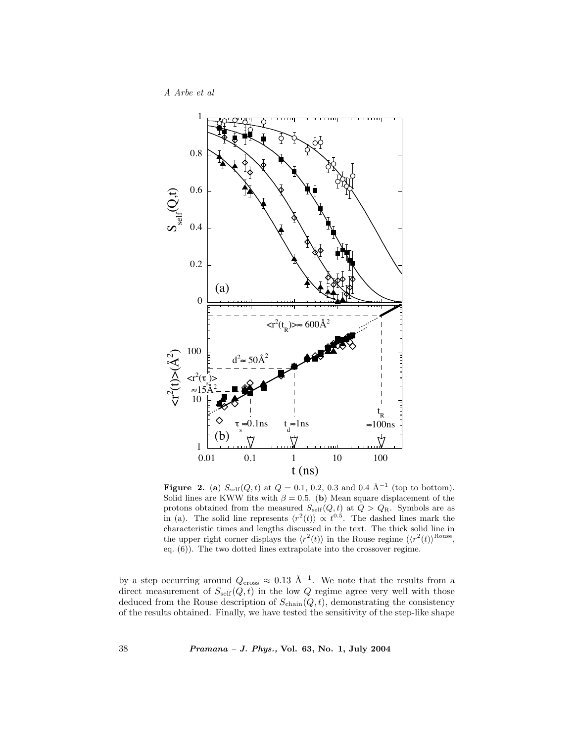A Arbe et al



**Figure 2.** (a)  $S_{\text{self}}(Q, t)$  at  $Q = 0.1, 0.2, 0.3$  and 0.4  $\AA^{-1}$  (top to bottom). Solid lines are KWW fits with  $\beta = 0.5$ . (b) Mean square displacement of the protons obtained from the measured  $S_{\text{self}}(Q, t)$  at  $Q > Q_{\text{R}}$ . Symbols are as in (a). The solid line represents  $\langle r^2(t) \rangle \propto t^{0.5}$ . The dashed lines mark the characteristic times and lengths discussed in the text. The thick solid line in the upper right corner displays the  $\langle r^2(t) \rangle$  in the Rouse regime  $(\langle r^2(t) \rangle^{\text{Rouse}},$ eq. (6)). The two dotted lines extrapolate into the crossover regime.

by a step occurring around  $Q_{\text{cross}} \approx 0.13 \text{ Å}^{-1}$ . We note that the results from a direct measurement of  $S_{\text{self}}(Q, t)$  in the low Q regime agree very well with those deduced from the Rouse description of  $S_{\text{chain}}(Q, t)$ , demonstrating the consistency of the results obtained. Finally, we have tested the sensitivity of the step-like shape

38 Pramana – J. Phys., Vol. 63, No. 1, July 2004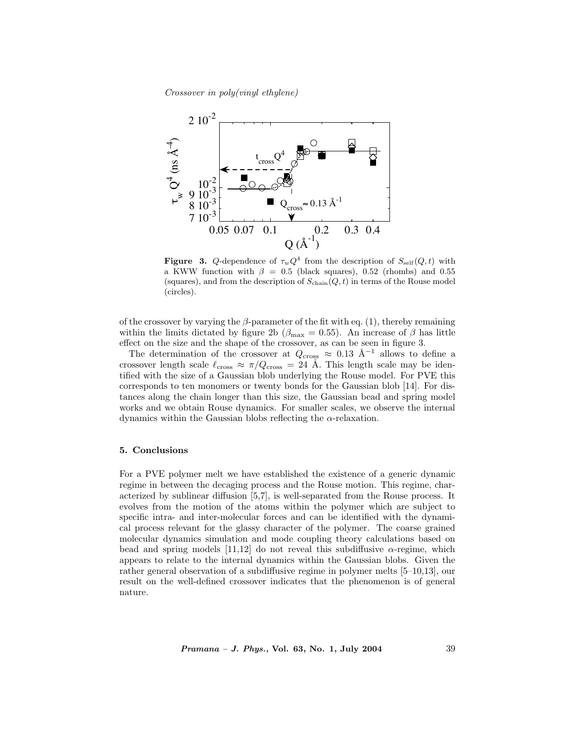Crossover in poly(vinyl ethylene)



**Figure 3.** Q-dependence of  $\tau_w Q^4$  from the description of  $S_{\text{self}}(Q, t)$  with a KWW function with  $\beta = 0.5$  (black squares), 0.52 (rhombs) and 0.55 (squares), and from the description of  $S_{\text{chain}}(Q, t)$  in terms of the Rouse model (circles).

of the crossover by varying the  $\beta$ -parameter of the fit with eq. (1), thereby remaining within the limits dictated by figure 2b ( $\beta_{\text{max}} = 0.55$ ). An increase of  $\beta$  has little effect on the size and the shape of the crossover, as can be seen in figure 3.

The determination of the crossover at  $Q_{\text{cross}} \approx 0.13 \text{ Å}^{-1}$  allows to define a crossover length scale  $\ell_{\text{cross}} \approx \pi/Q_{\text{cross}} = 24 \text{ Å}$ . This length scale may be identified with the size of a Gaussian blob underlying the Rouse model. For PVE this corresponds to ten monomers or twenty bonds for the Gaussian blob [14]. For distances along the chain longer than this size, the Gaussian bead and spring model works and we obtain Rouse dynamics. For smaller scales, we observe the internal dynamics within the Gaussian blobs reflecting the  $\alpha$ -relaxation.

# 5. Conclusions

For a PVE polymer melt we have established the existence of a generic dynamic regime in between the decaging process and the Rouse motion. This regime, characterized by sublinear diffusion [5,7], is well-separated from the Rouse process. It evolves from the motion of the atoms within the polymer which are subject to specific intra- and inter-molecular forces and can be identified with the dynamical process relevant for the glassy character of the polymer. The coarse grained molecular dynamics simulation and mode coupling theory calculations based on bead and spring models  $[11,12]$  do not reveal this subdiffusive  $\alpha$ -regime, which appears to relate to the internal dynamics within the Gaussian blobs. Given the rather general observation of a subdiffusive regime in polymer melts [5–10,13], our result on the well-defined crossover indicates that the phenomenon is of general nature.

Pramana – J. Phys., Vol. 63, No. 1, July 2004 39